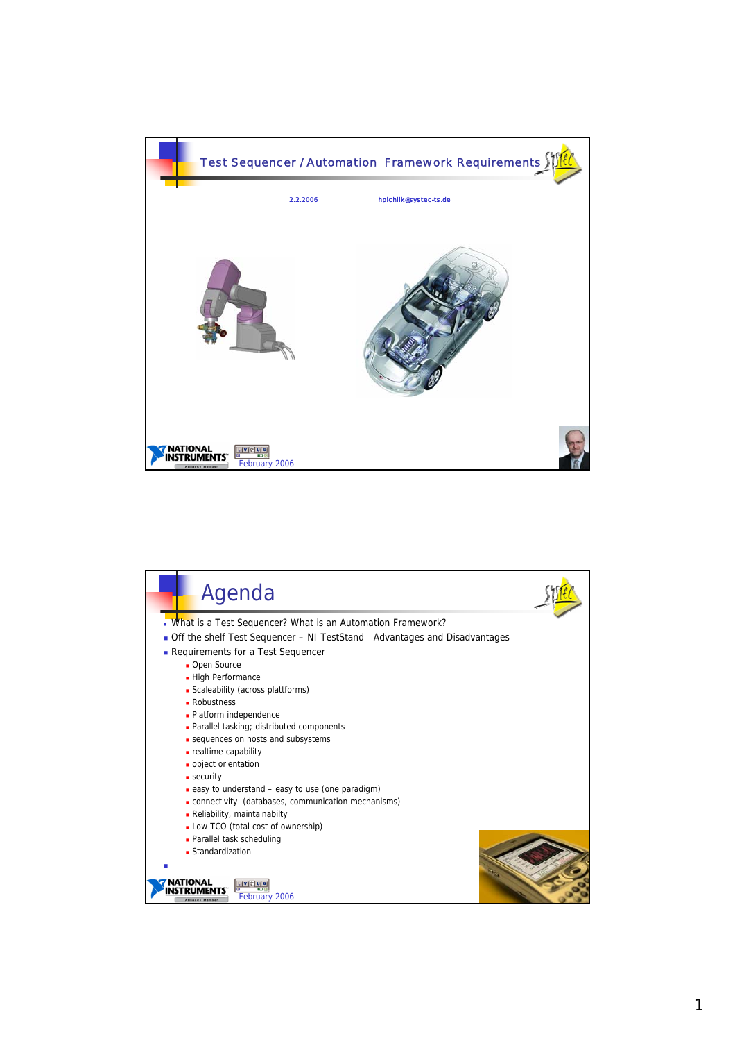

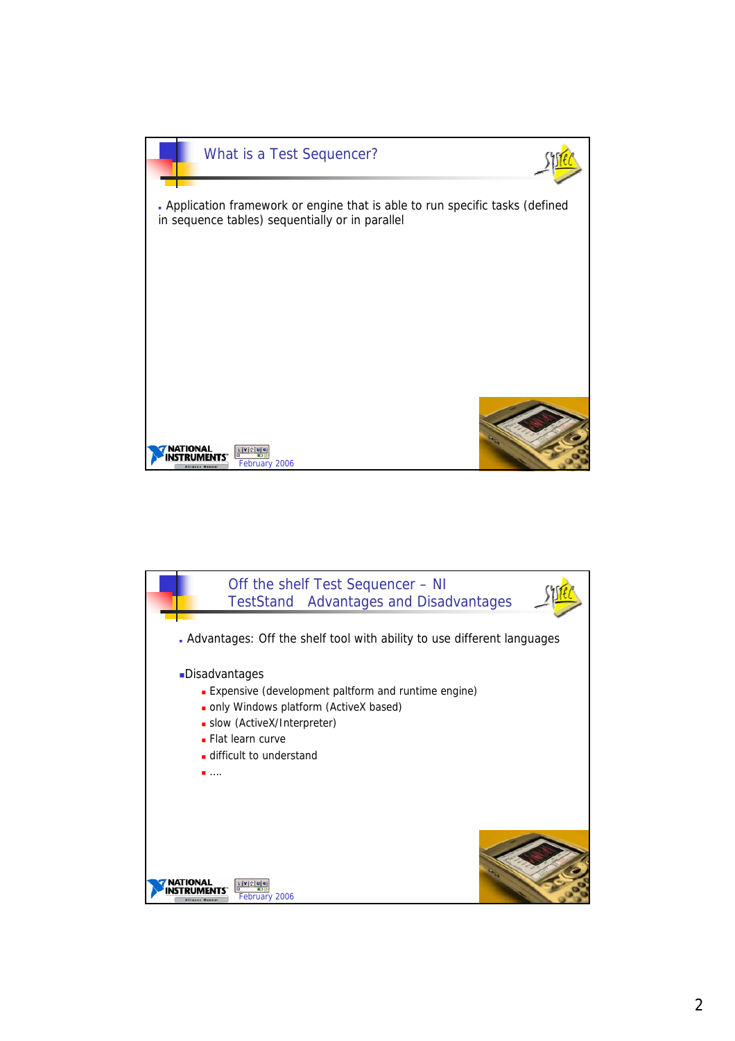

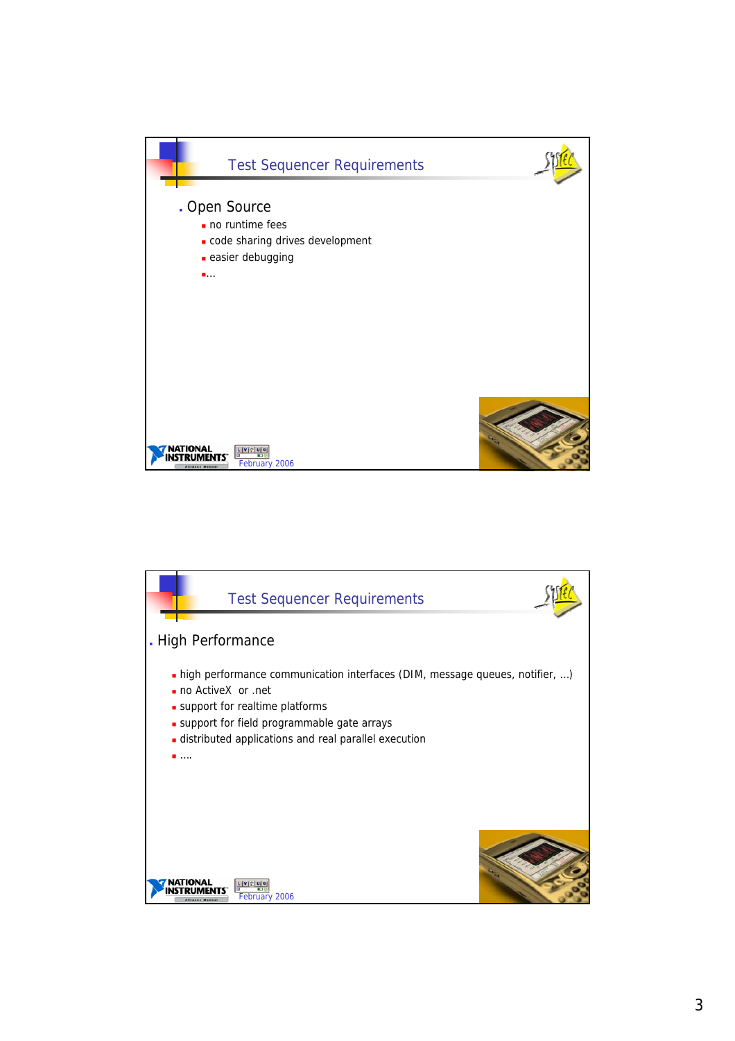

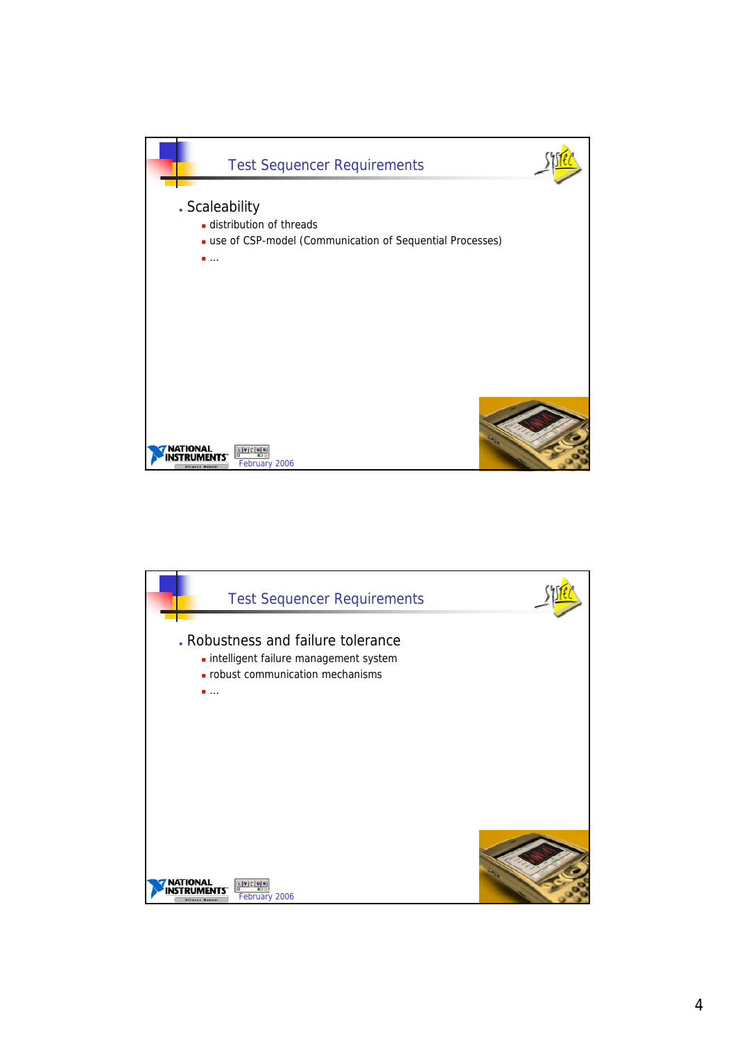

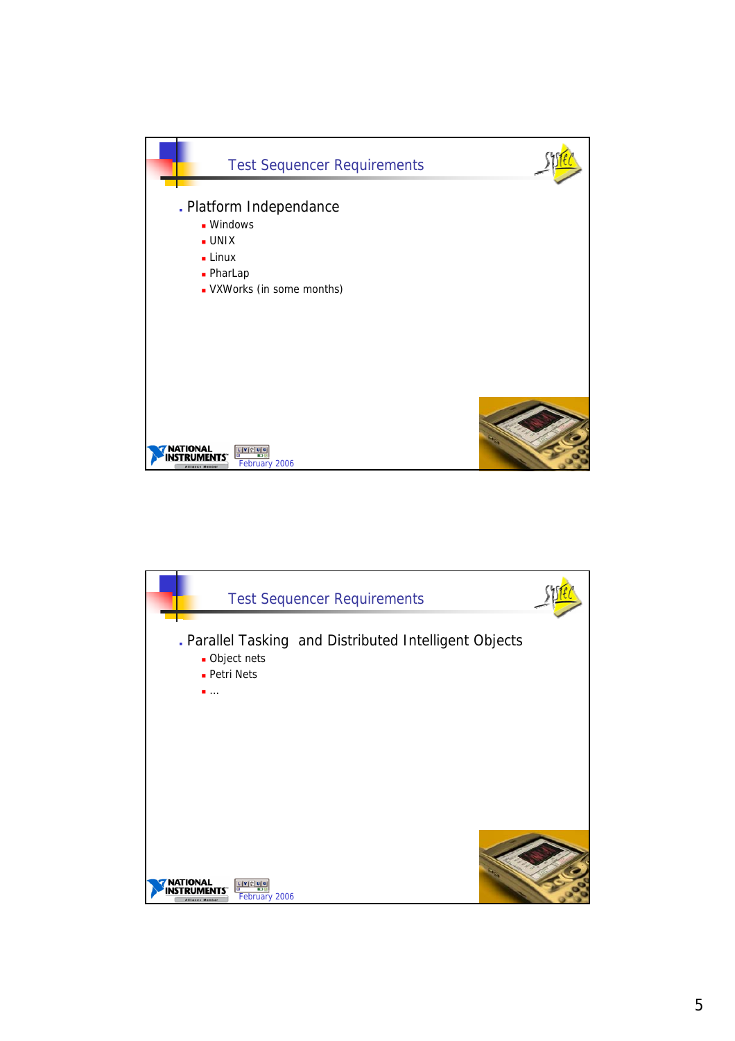

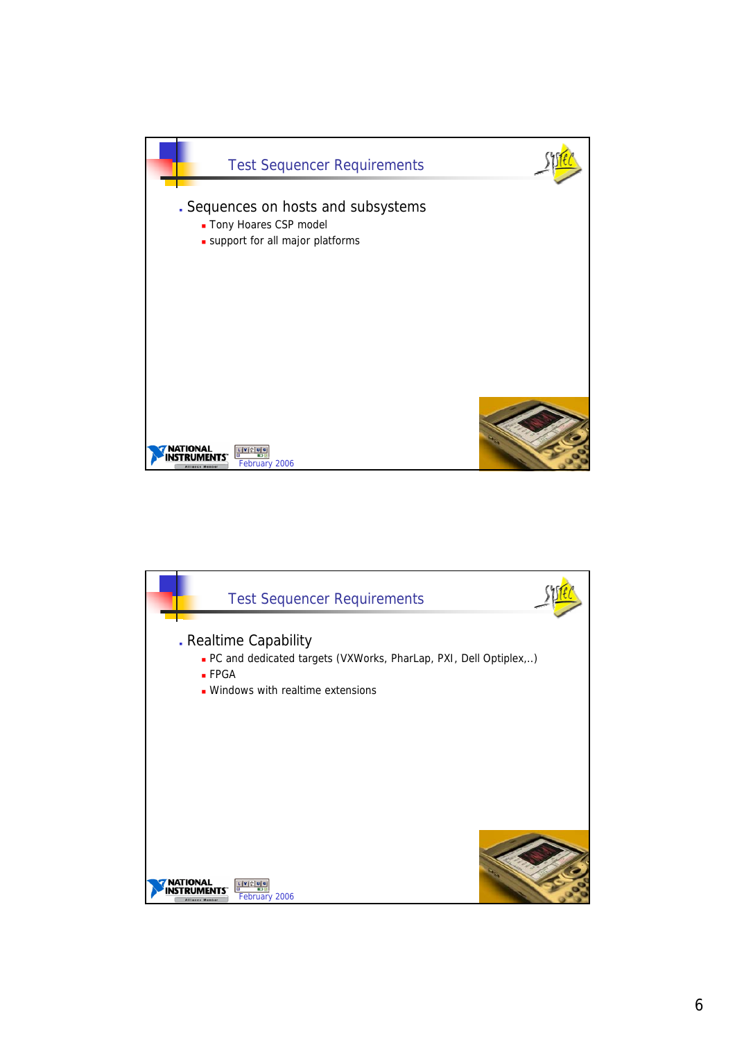

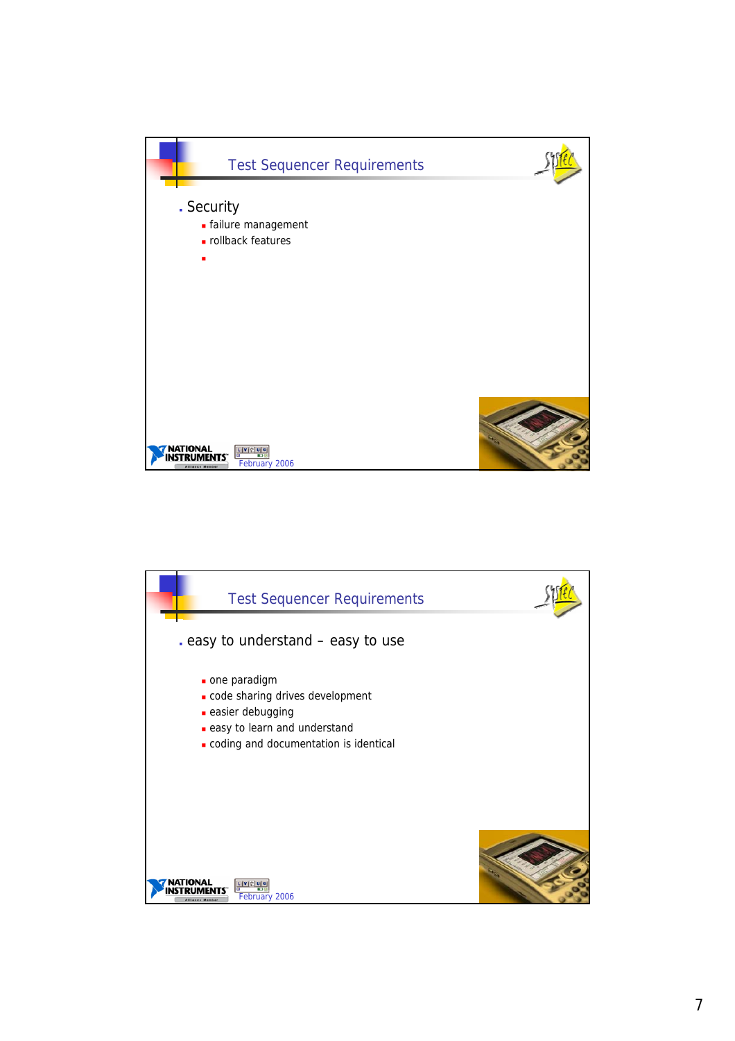

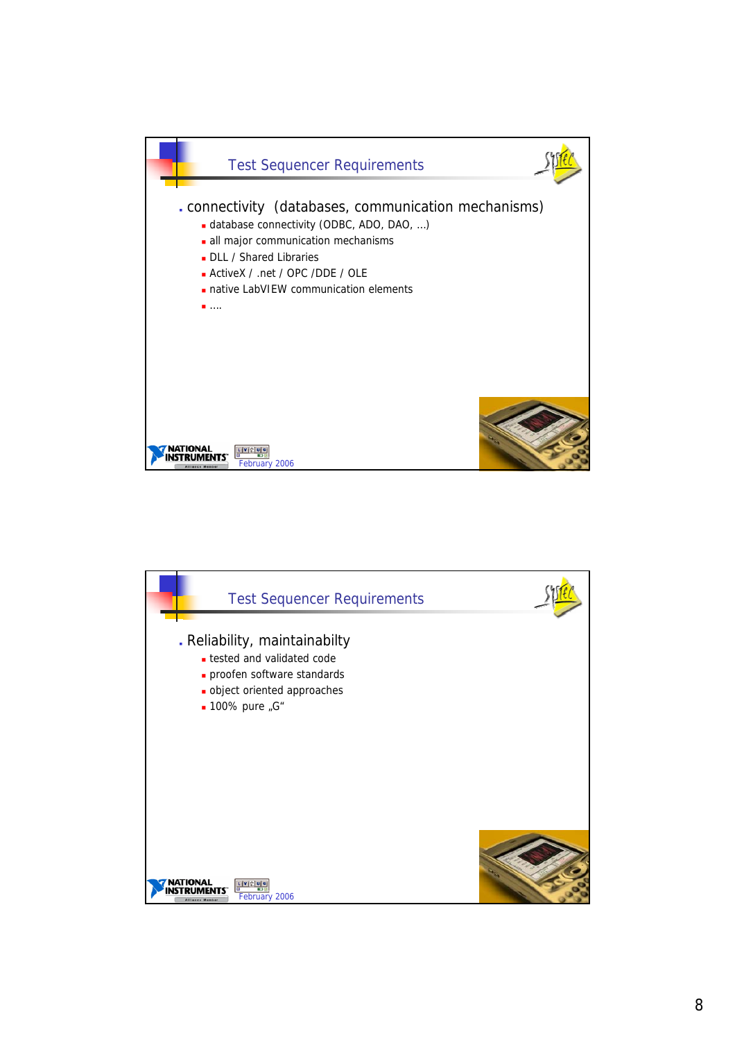

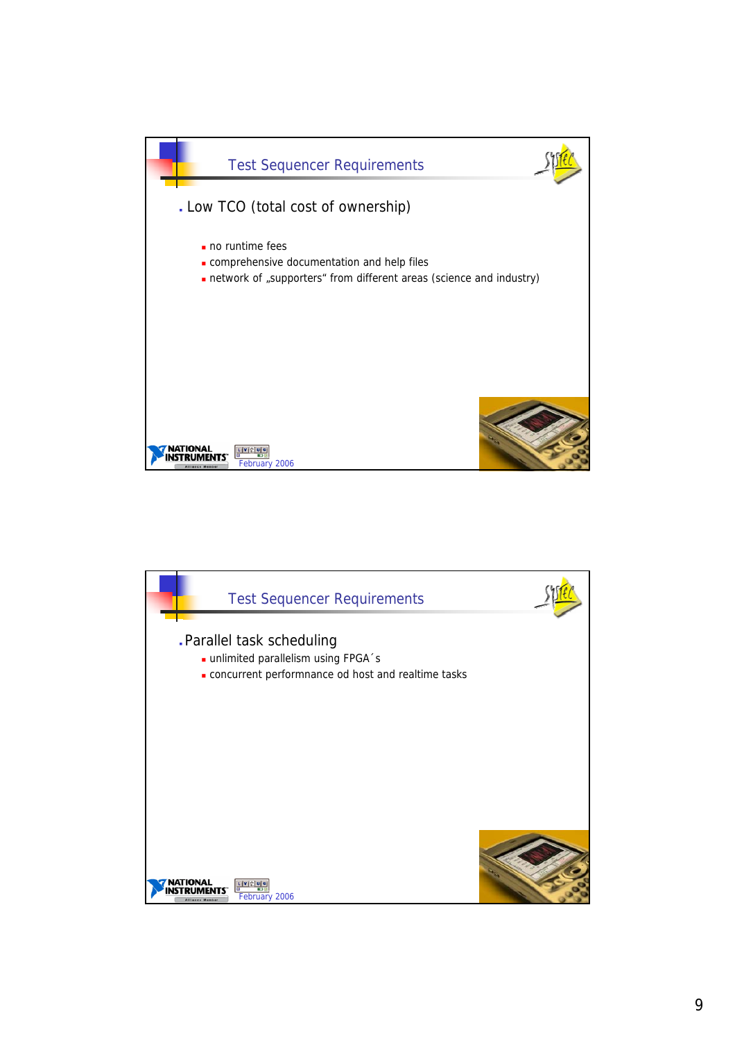

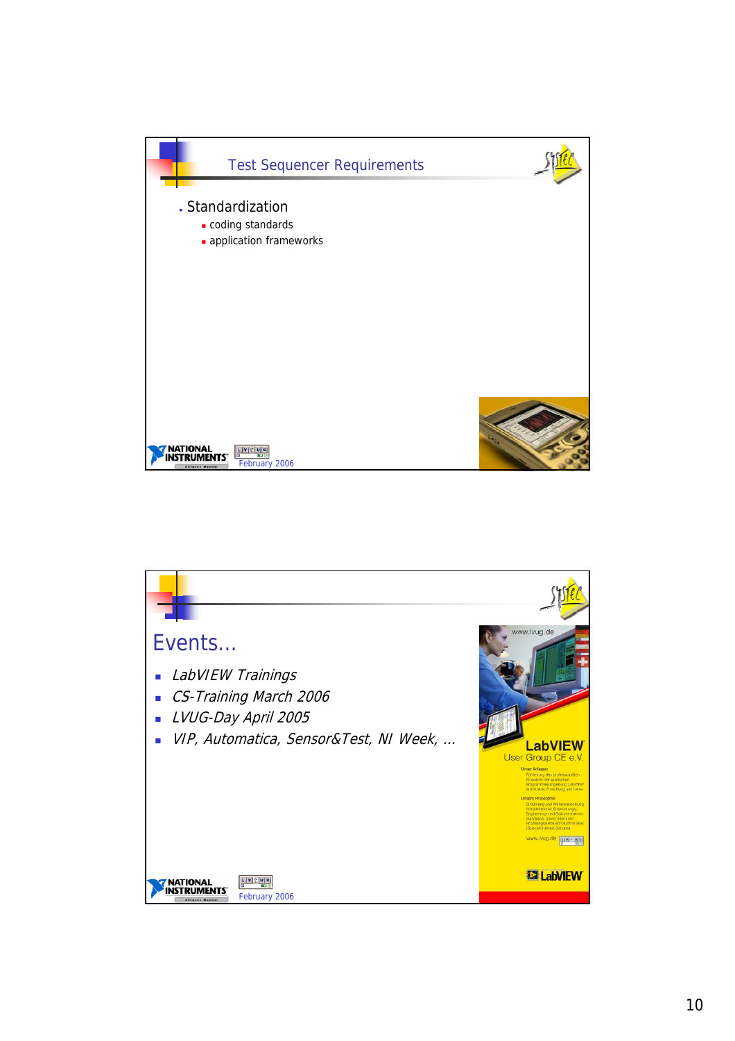